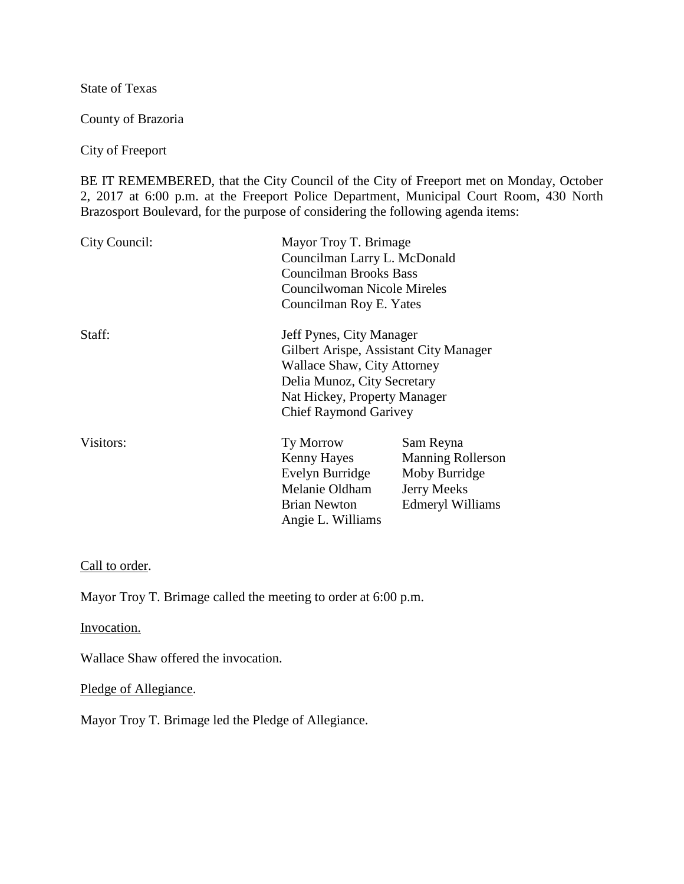State of Texas

County of Brazoria

City of Freeport

BE IT REMEMBERED, that the City Council of the City of Freeport met on Monday, October 2, 2017 at 6:00 p.m. at the Freeport Police Department, Municipal Court Room, 430 North Brazosport Boulevard, for the purpose of considering the following agenda items:

| City Council: | Mayor Troy T. Brimage<br>Councilman Larry L. McDonald<br><b>Councilman Brooks Bass</b><br>Councilwoman Nicole Mireles<br>Councilman Roy E. Yates                                                        |                                                                                           |
|---------------|---------------------------------------------------------------------------------------------------------------------------------------------------------------------------------------------------------|-------------------------------------------------------------------------------------------|
| Staff:        | Jeff Pynes, City Manager<br>Gilbert Arispe, Assistant City Manager<br><b>Wallace Shaw, City Attorney</b><br>Delia Munoz, City Secretary<br>Nat Hickey, Property Manager<br><b>Chief Raymond Garivey</b> |                                                                                           |
| Visitors:     | Ty Morrow<br>Kenny Hayes<br>Evelyn Burridge<br>Melanie Oldham<br><b>Brian Newton</b><br>Angie L. Williams                                                                                               | Sam Reyna<br><b>Manning Rollerson</b><br>Moby Burridge<br>Jerry Meeks<br>Edmeryl Williams |

#### Call to order.

Mayor Troy T. Brimage called the meeting to order at 6:00 p.m.

Invocation.

Wallace Shaw offered the invocation.

Pledge of Allegiance.

Mayor Troy T. Brimage led the Pledge of Allegiance.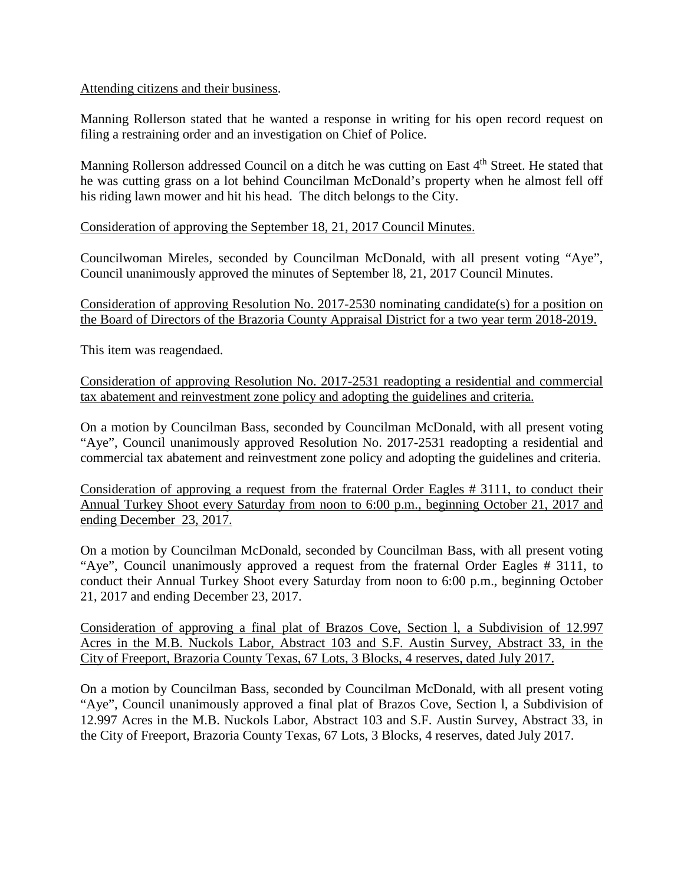### Attending citizens and their business.

Manning Rollerson stated that he wanted a response in writing for his open record request on filing a restraining order and an investigation on Chief of Police.

Manning Rollerson addressed Council on a ditch he was cutting on East 4<sup>th</sup> Street. He stated that he was cutting grass on a lot behind Councilman McDonald's property when he almost fell off his riding lawn mower and hit his head. The ditch belongs to the City.

Consideration of approving the September 18, 21, 2017 Council Minutes.

Councilwoman Mireles, seconded by Councilman McDonald, with all present voting "Aye", Council unanimously approved the minutes of September l8, 21, 2017 Council Minutes.

Consideration of approving Resolution No. 2017-2530 nominating candidate(s) for a position on the Board of Directors of the Brazoria County Appraisal District for a two year term 2018-2019.

This item was reagendaed.

Consideration of approving Resolution No. 2017-2531 readopting a residential and commercial tax abatement and reinvestment zone policy and adopting the guidelines and criteria.

On a motion by Councilman Bass, seconded by Councilman McDonald, with all present voting "Aye", Council unanimously approved Resolution No. 2017-2531 readopting a residential and commercial tax abatement and reinvestment zone policy and adopting the guidelines and criteria.

Consideration of approving a request from the fraternal Order Eagles # 3111, to conduct their Annual Turkey Shoot every Saturday from noon to 6:00 p.m., beginning October 21, 2017 and ending December 23, 2017.

On a motion by Councilman McDonald, seconded by Councilman Bass, with all present voting "Aye", Council unanimously approved a request from the fraternal Order Eagles # 3111, to conduct their Annual Turkey Shoot every Saturday from noon to 6:00 p.m., beginning October 21, 2017 and ending December 23, 2017.

Consideration of approving a final plat of Brazos Cove, Section l, a Subdivision of 12.997 Acres in the M.B. Nuckols Labor, Abstract 103 and S.F. Austin Survey, Abstract 33, in the City of Freeport, Brazoria County Texas, 67 Lots, 3 Blocks, 4 reserves, dated July 2017.

On a motion by Councilman Bass, seconded by Councilman McDonald, with all present voting "Aye", Council unanimously approved a final plat of Brazos Cove, Section l, a Subdivision of 12.997 Acres in the M.B. Nuckols Labor, Abstract 103 and S.F. Austin Survey, Abstract 33, in the City of Freeport, Brazoria County Texas, 67 Lots, 3 Blocks, 4 reserves, dated July 2017.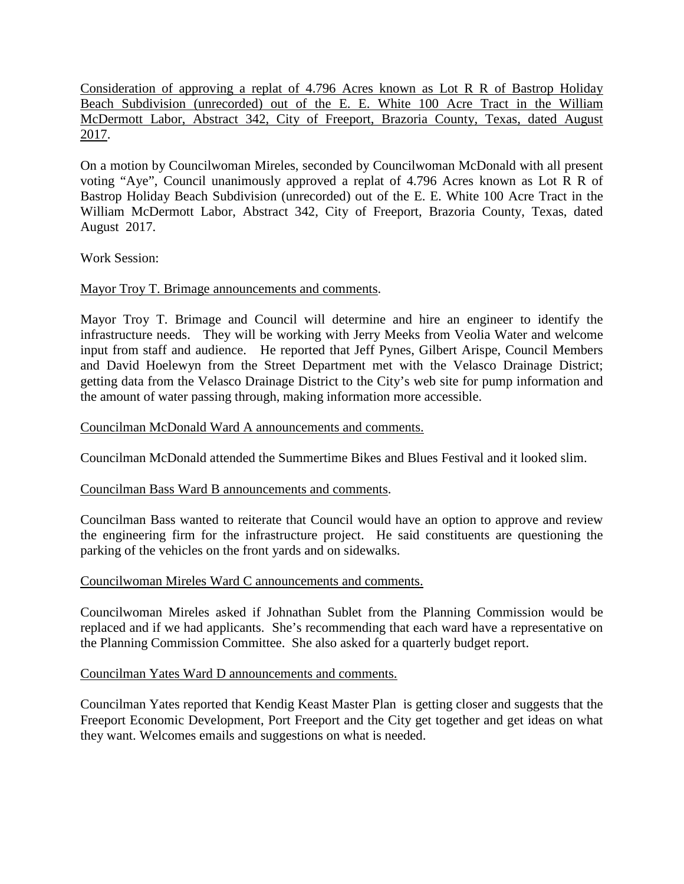Consideration of approving a replat of 4.796 Acres known as Lot R R of Bastrop Holiday Beach Subdivision (unrecorded) out of the E. E. White 100 Acre Tract in the William McDermott Labor, Abstract 342, City of Freeport, Brazoria County, Texas, dated August 2017.

On a motion by Councilwoman Mireles, seconded by Councilwoman McDonald with all present voting "Aye", Council unanimously approved a replat of 4.796 Acres known as Lot R R of Bastrop Holiday Beach Subdivision (unrecorded) out of the E. E. White 100 Acre Tract in the William McDermott Labor, Abstract 342, City of Freeport, Brazoria County, Texas, dated August 2017.

Work Session:

# Mayor Troy T. Brimage announcements and comments.

Mayor Troy T. Brimage and Council will determine and hire an engineer to identify the infrastructure needs. They will be working with Jerry Meeks from Veolia Water and welcome input from staff and audience. He reported that Jeff Pynes, Gilbert Arispe, Council Members and David Hoelewyn from the Street Department met with the Velasco Drainage District; getting data from the Velasco Drainage District to the City's web site for pump information and the amount of water passing through, making information more accessible.

## Councilman McDonald Ward A announcements and comments.

Councilman McDonald attended the Summertime Bikes and Blues Festival and it looked slim.

# Councilman Bass Ward B announcements and comments.

Councilman Bass wanted to reiterate that Council would have an option to approve and review the engineering firm for the infrastructure project. He said constituents are questioning the parking of the vehicles on the front yards and on sidewalks.

### Councilwoman Mireles Ward C announcements and comments.

Councilwoman Mireles asked if Johnathan Sublet from the Planning Commission would be replaced and if we had applicants. She's recommending that each ward have a representative on the Planning Commission Committee. She also asked for a quarterly budget report.

### Councilman Yates Ward D announcements and comments.

Councilman Yates reported that Kendig Keast Master Plan is getting closer and suggests that the Freeport Economic Development, Port Freeport and the City get together and get ideas on what they want. Welcomes emails and suggestions on what is needed.